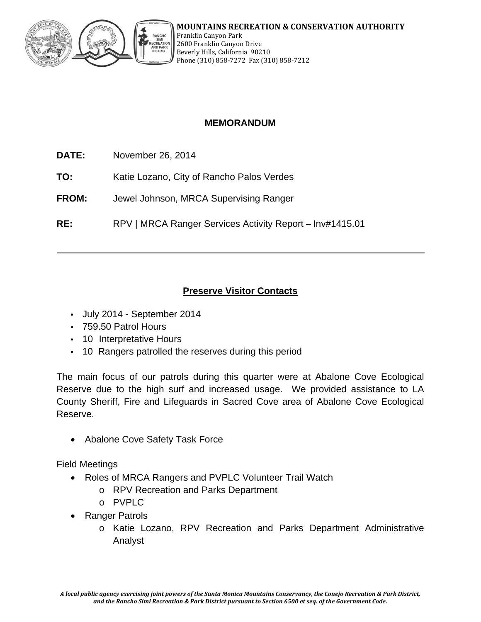

## **MEMORANDUM**

- **DATE:** November 26, 2014
- **TO:** Katie Lozano, City of Rancho Palos Verdes
- **FROM:** Jewel Johnson, MRCA Supervising Ranger
- **RE:** RPV | MRCA Ranger Services Activity Report Inv#1415.01

# **Preserve Visitor Contacts**

- July 2014 September 2014
- 759.50 Patrol Hours
- 10 Interpretative Hours
- 10 Rangers patrolled the reserves during this period

The main focus of our patrols during this quarter were at Abalone Cove Ecological Reserve due to the high surf and increased usage. We provided assistance to LA County Sheriff, Fire and Lifeguards in Sacred Cove area of Abalone Cove Ecological Reserve.

Abalone Cove Safety Task Force

Field Meetings

- Roles of MRCA Rangers and PVPLC Volunteer Trail Watch
	- o RPV Recreation and Parks Department
	- o PVPLC
- Ranger Patrols
	- o Katie Lozano, RPV Recreation and Parks Department Administrative Analyst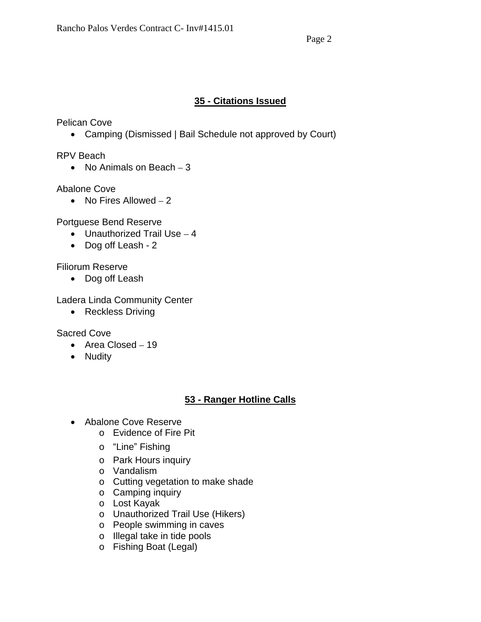### **35 - Citations Issued**

Pelican Cove

• Camping (Dismissed | Bail Schedule not approved by Court)

RPV Beach

• No Animals on Beach  $-3$ 

Abalone Cove

• No Fires Allowed  $-2$ 

Portguese Bend Reserve

- $\bullet$  Unauthorized Trail Use  $-4$
- Dog off Leash 2

Filiorum Reserve

• Dog off Leash

Ladera Linda Community Center

• Reckless Driving

Sacred Cove

- Area Closed 19
- Nudity

# **53 - Ranger Hotline Calls**

- Abalone Cove Reserve
	- o Evidence of Fire Pit
	- o "Line" Fishing
	- o Park Hours inquiry
	- o Vandalism
	- o Cutting vegetation to make shade
	- o Camping inquiry
	- o Lost Kayak
	- o Unauthorized Trail Use (Hikers)
	- o People swimming in caves
	- o Illegal take in tide pools
	- o Fishing Boat (Legal)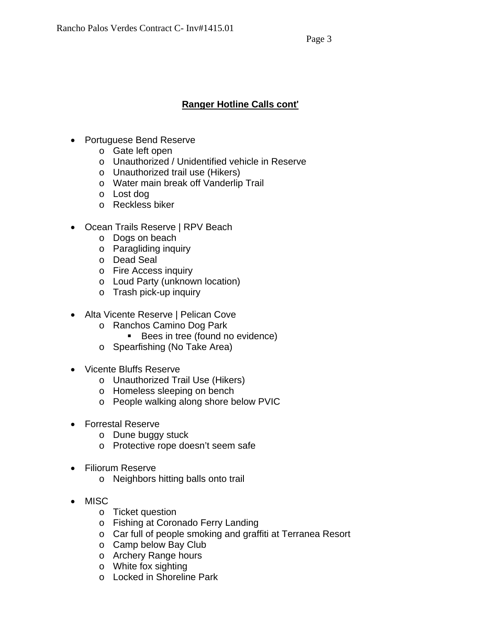### **Ranger Hotline Calls cont**'

- Portuguese Bend Reserve
	- o Gate left open
	- o Unauthorized / Unidentified vehicle in Reserve
	- o Unauthorized trail use (Hikers)
	- o Water main break off Vanderlip Trail
	- o Lost dog
	- o Reckless biker
- Ocean Trails Reserve | RPV Beach
	- o Dogs on beach
	- o Paragliding inquiry
	- o Dead Seal
	- o Fire Access inquiry
	- o Loud Party (unknown location)
	- o Trash pick-up inquiry
- Alta Vicente Reserve | Pelican Cove
	- o Ranchos Camino Dog Park
		- Bees in tree (found no evidence)
	- o Spearfishing (No Take Area)
- Vicente Bluffs Reserve
	- o Unauthorized Trail Use (Hikers)
	- o Homeless sleeping on bench
	- o People walking along shore below PVIC
- Forrestal Reserve
	- o Dune buggy stuck
	- o Protective rope doesn't seem safe
- Filiorum Reserve
	- o Neighbors hitting balls onto trail
- MISC
	- o Ticket question
	- o Fishing at Coronado Ferry Landing
	- o Car full of people smoking and graffiti at Terranea Resort
	- o Camp below Bay Club
	- o Archery Range hours
	- o White fox sighting
	- o Locked in Shoreline Park